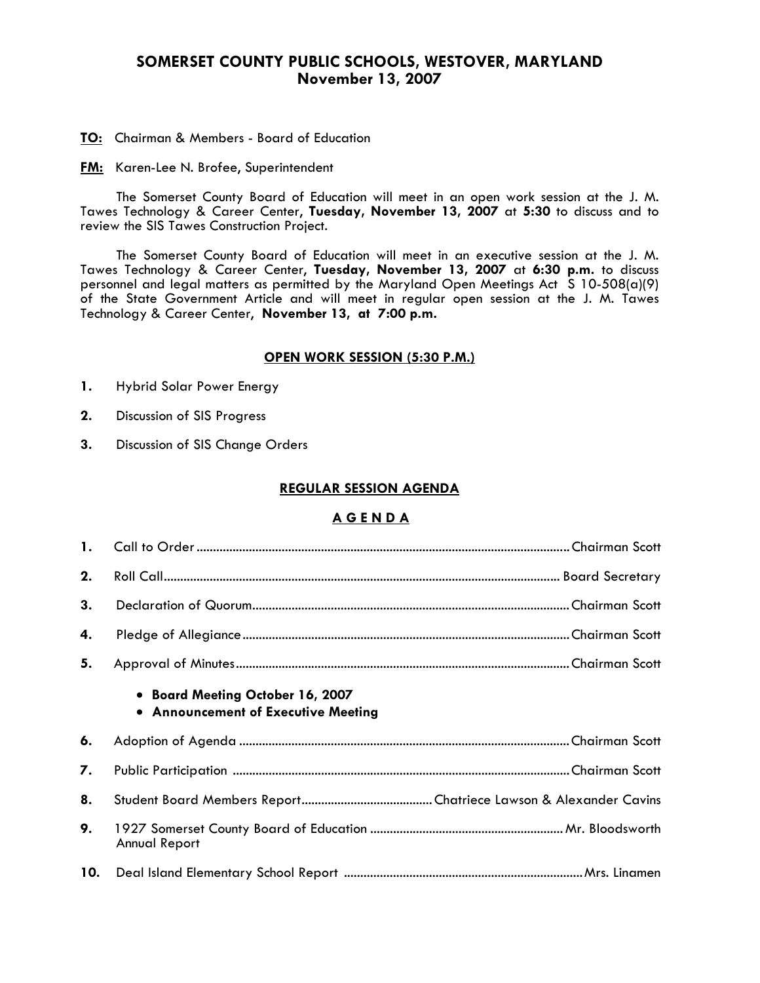# **SOMERSET COUNTY PUBLIC SCHOOLS, WESTOVER, MARYLAND November 13, 2007**

**TO:** Chairman & Members - Board of Education

**FM:** Karen-Lee N. Brofee, Superintendent

 The Somerset County Board of Education will meet in an open work session at the J. M. Tawes Technology & Career Center, **Tuesday, November 13, 2007** at **5:30** to discuss and to review the SIS Tawes Construction Project.

The Somerset County Board of Education will meet in an executive session at the J. M. Tawes Technology & Career Center, **Tuesday, November 13, 2007** at **6:30 p.m.** to discuss personnel and legal matters as permitted by the Maryland Open Meetings Act S 10-508(a)(9) of the State Government Article and will meet in regular open session at the J. M. Tawes Technology & Career Center, **November 13, at 7:00 p.m.** 

#### **OPEN WORK SESSION (5:30 P.M.)**

- **1.** Hybrid Solar Power Energy
- **2.** Discussion of SIS Progress
- **3.** Discussion of SIS Change Orders

#### **REGULAR SESSION AGENDA**

# **A G E N D A**

| $\mathbf{1}$ . |                                                                         |  |
|----------------|-------------------------------------------------------------------------|--|
| 2.             |                                                                         |  |
| 3.             |                                                                         |  |
| 4.             |                                                                         |  |
| 5.             |                                                                         |  |
|                | • Board Meeting October 16, 2007<br>• Announcement of Executive Meeting |  |
| 6.             |                                                                         |  |
| 7.             |                                                                         |  |
| 8.             |                                                                         |  |
| 9.             | <b>Annual Report</b>                                                    |  |
| 10.            |                                                                         |  |